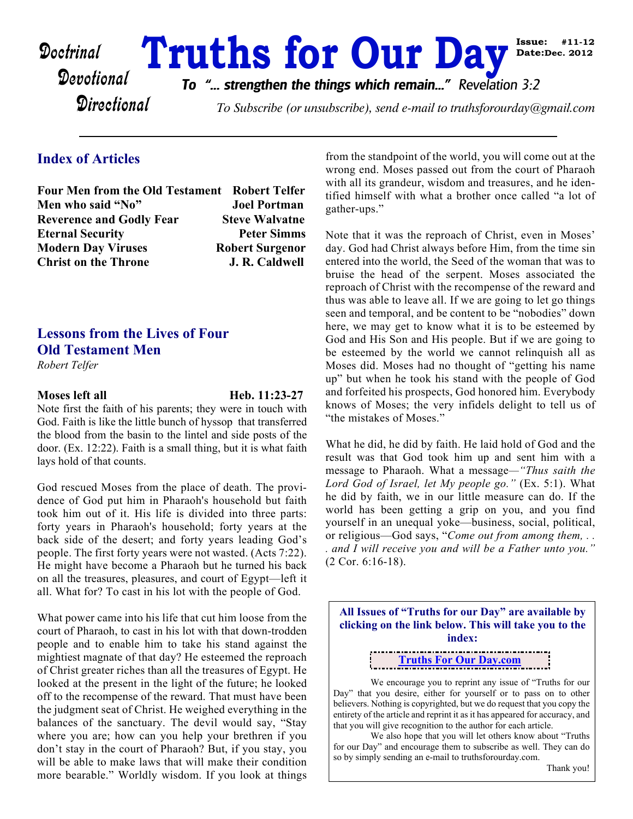# Doctrinal **Truths for Our Day Day** Date: Dec. 2012

**Directional** 

*To "... strengthen the things which remain..." Revelation 3:2*

To Subscribe (or unsubscribe), send e-mail to truthsforourday@gmail.com

#### **Index of Articles**

**Four Men from the Old Testament Robert Telfer Men who said "No" Joel Portman Reverence and Godly Fear Steve Walvatne Eternal Security Peter Simms Modern Day Viruses Robert Surgenor Christ on the Throne** *J. R. Caldwell* 

## **Lessons from the Lives of Four Old Testament Men**

*Robert Telfer*

**Moses left all Heb. 11:23-27** 

Note first the faith of his parents; they were in touch with God. Faith is like the little bunch of hyssop that transferred the blood from the basin to the lintel and side posts of the door. (Ex. 12:22). Faith is a small thing, but it is what faith lays hold of that counts.

God rescued Moses from the place of death. The providence of God put him in Pharaoh's household but faith took him out of it. His life is divided into three parts: forty years in Pharaoh's household; forty years at the back side of the desert; and forty years leading God's people. The first forty years were not wasted. (Acts 7:22). He might have become a Pharaoh but he turned his back on all the treasures, pleasures, and court of Egypt—left it all. What for? To cast in his lot with the people of God.

What power came into his life that cut him loose from the court of Pharaoh, to cast in his lot with that down-trodden people and to enable him to take his stand against the mightiest magnate of that day? He esteemed the reproach of Christ greater riches than all the treasures of Egypt. He looked at the present in the light of the future; he looked off to the recompense of the reward. That must have been the judgment seat of Christ. He weighed everything in the balances of the sanctuary. The devil would say, "Stay where you are; how can you help your brethren if you don't stay in the court of Pharaoh? But, if you stay, you will be able to make laws that will make their condition more bearable." Worldly wisdom. If you look at things

from the standpoint of the world, you will come out at the wrong end. Moses passed out from the court of Pharaoh with all its grandeur, wisdom and treasures, and he identified himself with what a brother once called "a lot of gather-ups."

**Date:Dec. 2012**

Note that it was the reproach of Christ, even in Moses' day. God had Christ always before Him, from the time sin entered into the world, the Seed of the woman that was to bruise the head of the serpent. Moses associated the reproach of Christ with the recompense of the reward and thus was able to leave all. If we are going to let go things seen and temporal, and be content to be "nobodies" down here, we may get to know what it is to be esteemed by God and His Son and His people. But if we are going to be esteemed by the world we cannot relinquish all as Moses did. Moses had no thought of "getting his name up" but when he took his stand with the people of God and forfeited his prospects, God honored him. Everybody knows of Moses; the very infidels delight to tell us of "the mistakes of Moses."

What he did, he did by faith. He laid hold of God and the result was that God took him up and sent him with a message to Pharaoh. What a message*—"Thus saith the Lord God of Israel, let My people go."* (Ex. 5:1). What he did by faith, we in our little measure can do. If the world has been getting a grip on you, and you find yourself in an unequal yoke—business, social, political, or religious—God says, "*Come out from among them, . . . and I will receive you and will be a Father unto you."* (2 Cor. 6:16-18).

**All Issues of "Truths for our Day" are available by clicking on the link below. This will take you to the index:**

**[Truths For Our Day.com](http://truthsforourday.com)**

 We encourage you to reprint any issue of "Truths for our Day" that you desire, either for yourself or to pass on to other believers. Nothing is copyrighted, but we do request that you copy the entirety of the article and reprint it as it has appeared for accuracy, and that you will give recognition to the author for each article.

 We also hope that you will let others know about "Truths for our Day" and encourage them to subscribe as well. They can do so by simply sending an e-mail to truthsforourday.com.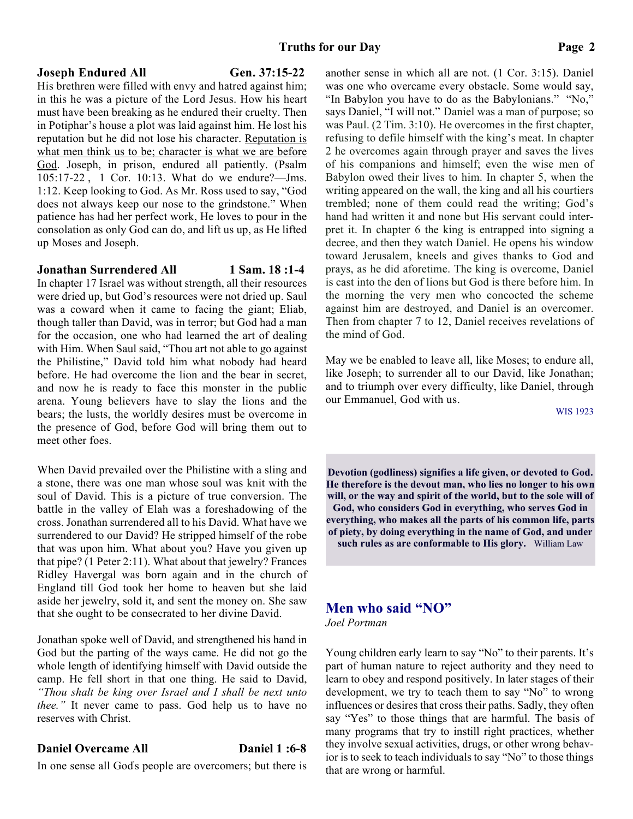#### **Joseph Endured All Gen. 37:15-22**

His brethren were filled with envy and hatred against him; in this he was a picture of the Lord Jesus. How his heart must have been breaking as he endured their cruelty. Then in Potiphar's house a plot was laid against him. He lost his reputation but he did not lose his character. Reputation is what men think us to be; character is what we are before God. Joseph, in prison, endured all patiently. (Psalm 105:17-22 , 1 Cor. 10:13. What do we endure?—Jms. 1:12. Keep looking to God. As Mr. Ross used to say, "God does not always keep our nose to the grindstone." When patience has had her perfect work, He loves to pour in the consolation as only God can do, and lift us up, as He lifted up Moses and Joseph.

#### **Jonathan Surrendered All 1 Sam. 18 :1-4**

In chapter 17 Israel was without strength, all their resources were dried up, but God's resources were not dried up. Saul was a coward when it came to facing the giant; Eliab, though taller than David, was in terror; but God had a man for the occasion, one who had learned the art of dealing with Him. When Saul said, "Thou art not able to go against the Philistine," David told him what nobody had heard before. He had overcome the lion and the bear in secret, and now he is ready to face this monster in the public arena. Young believers have to slay the lions and the bears; the lusts, the worldly desires must be overcome in the presence of God, before God will bring them out to meet other foes.

When David prevailed over the Philistine with a sling and a stone, there was one man whose soul was knit with the soul of David. This is a picture of true conversion. The battle in the valley of Elah was a foreshadowing of the cross. Jonathan surrendered all to his David. What have we surrendered to our David? He stripped himself of the robe that was upon him. What about you? Have you given up that pipe? (1 Peter 2:11). What about that jewelry? Frances Ridley Havergal was born again and in the church of England till God took her home to heaven but she laid aside her jewelry, sold it, and sent the money on. She saw that she ought to be consecrated to her divine David.

Jonathan spoke well of David, and strengthened his hand in God but the parting of the ways came. He did not go the whole length of identifying himself with David outside the camp. He fell short in that one thing. He said to David, *"Thou shalt be king over Israel and I shall be next unto thee.*" It never came to pass. God help us to have no reserves with Christ.

#### **Daniel Overcame All Daniel 1:6-8**

In one sense all God' s people are overcomers; but there is

another sense in which all are not. (1 Cor. 3:15). Daniel was one who overcame every obstacle. Some would say, "In Babylon you have to do as the Babylonians." "No," says Daniel, "I will not." Daniel was a man of purpose; so was Paul. (2 Tim. 3:10). He overcomes in the first chapter, refusing to defile himself with the king's meat. In chapter 2 he overcomes again through prayer and saves the lives of his companions and himself; even the wise men of Babylon owed their lives to him. In chapter 5, when the writing appeared on the wall, the king and all his courtiers trembled; none of them could read the writing; God's hand had written it and none but His servant could interpret it. In chapter 6 the king is entrapped into signing a decree, and then they watch Daniel. He opens his window toward Jerusalem, kneels and gives thanks to God and prays, as he did aforetime. The king is overcome, Daniel is cast into the den of lions but God is there before him. In the morning the very men who concocted the scheme against him are destroyed, and Daniel is an overcomer. Then from chapter 7 to 12, Daniel receives revelations of the mind of God.

May we be enabled to leave all, like Moses; to endure all, like Joseph; to surrender all to our David, like Jonathan; and to triumph over every difficulty, like Daniel, through our Emmanuel, God with us.

WIS 1923

**Devotion (godliness) signifies a life given, or devoted to God. He therefore is the devout man, who lies no longer to his own will, or the way and spirit of the world, but to the sole will of God, who considers God in everything, who serves God in everything, who makes all the parts of his common life, parts of piety, by doing everything in the name of God, and under such rules as are conformable to His glory.** William Law

# **Men who said "NO"**

*Joel Portman*

Young children early learn to say "No" to their parents. It's part of human nature to reject authority and they need to learn to obey and respond positively. In later stages of their development, we try to teach them to say "No" to wrong influences or desires that cross their paths. Sadly, they often say "Yes" to those things that are harmful. The basis of many programs that try to instill right practices, whether they involve sexual activities, drugs, or other wrong behavior is to seek to teach individuals to say "No" to those things that are wrong or harmful.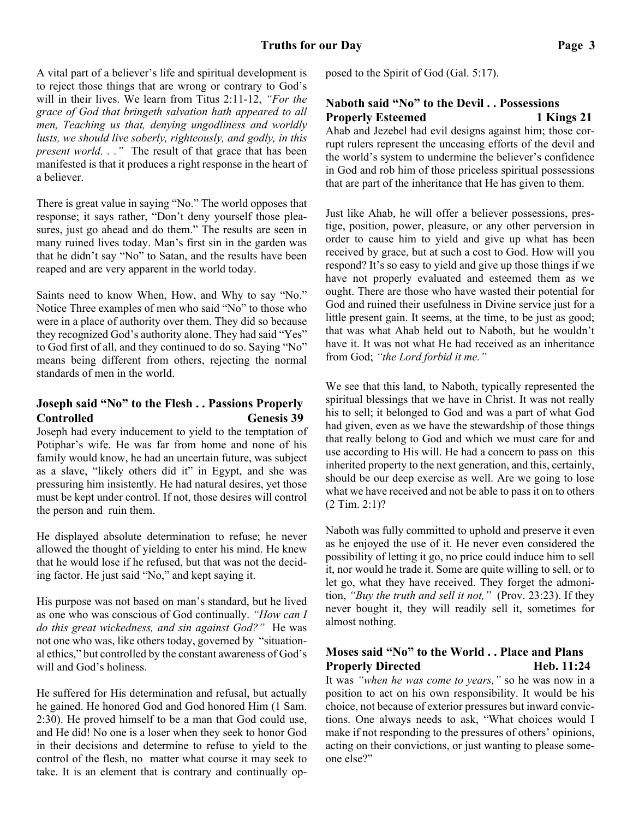A vital part of a believer's life and spiritual development is to reject those things that are wrong or contrary to God's will in their lives. We learn from Titus 2:11-12, *"For the grace of God that bringeth salvation hath appeared to all men, Teaching us that, denying ungodliness and worldly lusts, we should live soberly, righteously, and godly, in this present world. . ."* The result of that grace that has been manifested is that it produces a right response in the heart of a believer.

There is great value in saying "No." The world opposes that response; it says rather, "Don't deny yourself those pleasures, just go ahead and do them." The results are seen in many ruined lives today. Man's first sin in the garden was that he didn't say "No" to Satan, and the results have been reaped and are very apparent in the world today.

Saints need to know When, How, and Why to say "No." Notice Three examples of men who said "No" to those who were in a place of authority over them. They did so because they recognized God's authority alone. They had said "Yes" to God first of all, and they continued to do so. Saying "No" means being different from others, rejecting the normal standards of men in the world.

#### **Joseph said "No" to the Flesh . . Passions Properly Controlled Genesis 39**

Joseph had every inducement to yield to the temptation of Potiphar's wife. He was far from home and none of his family would know, he had an uncertain future, was subject as a slave, "likely others did it" in Egypt, and she was pressuring him insistently. He had natural desires, yet those must be kept under control. If not, those desires will control the person and ruin them.

He displayed absolute determination to refuse; he never allowed the thought of yielding to enter his mind. He knew that he would lose if he refused, but that was not the deciding factor. He just said "No," and kept saying it.

His purpose was not based on man's standard, but he lived as one who was conscious of God continually. *"How can I do this great wickedness, and sin against God?"* He was not one who was, like others today, governed by "situational ethics," but controlled by the constant awareness of God's will and God's holiness.

He suffered for His determination and refusal, but actually he gained. He honored God and God honored Him (1 Sam. 2:30). He proved himself to be a man that God could use, and He did! No one is a loser when they seek to honor God in their decisions and determine to refuse to yield to the control of the flesh, no matter what course it may seek to take. It is an element that is contrary and continually opposed to the Spirit of God (Gal. 5:17).

### **Naboth said "No" to the Devil . . Possessions Properly Esteemed** 1 Kings 21

Ahab and Jezebel had evil designs against him; those corrupt rulers represent the unceasing efforts of the devil and the world's system to undermine the believer's confidence in God and rob him of those priceless spiritual possessions that are part of the inheritance that He has given to them.

Just like Ahab, he will offer a believer possessions, prestige, position, power, pleasure, or any other perversion in order to cause him to yield and give up what has been received by grace, but at such a cost to God. How will you respond? It's so easy to yield and give up those things if we have not properly evaluated and esteemed them as we ought. There are those who have wasted their potential for God and ruined their usefulness in Divine service just for a little present gain. It seems, at the time, to be just as good; that was what Ahab held out to Naboth, but he wouldn't have it. It was not what He had received as an inheritance from God; *"the Lord forbid it me."*

We see that this land, to Naboth, typically represented the spiritual blessings that we have in Christ. It was not really his to sell; it belonged to God and was a part of what God had given, even as we have the stewardship of those things that really belong to God and which we must care for and use according to His will. He had a concern to pass on this inherited property to the next generation, and this, certainly, should be our deep exercise as well. Are we going to lose what we have received and not be able to pass it on to others (2 Tim. 2:1)?

Naboth was fully committed to uphold and preserve it even as he enjoyed the use of it. He never even considered the possibility of letting it go, no price could induce him to sell it, nor would he trade it. Some are quite willing to sell, or to let go, what they have received. They forget the admonition, *"Buy the truth and sell it not,"* (Prov. 23:23). If they never bought it, they will readily sell it, sometimes for almost nothing.

#### **Moses said "No" to the World . . Place and Plans Properly Directed Heb. 11:24**

It was *"when he was come to years,"* so he was now in a position to act on his own responsibility. It would be his choice, not because of exterior pressures but inward convictions. One always needs to ask, "What choices would I make if not responding to the pressures of others' opinions, acting on their convictions, or just wanting to please someone else?"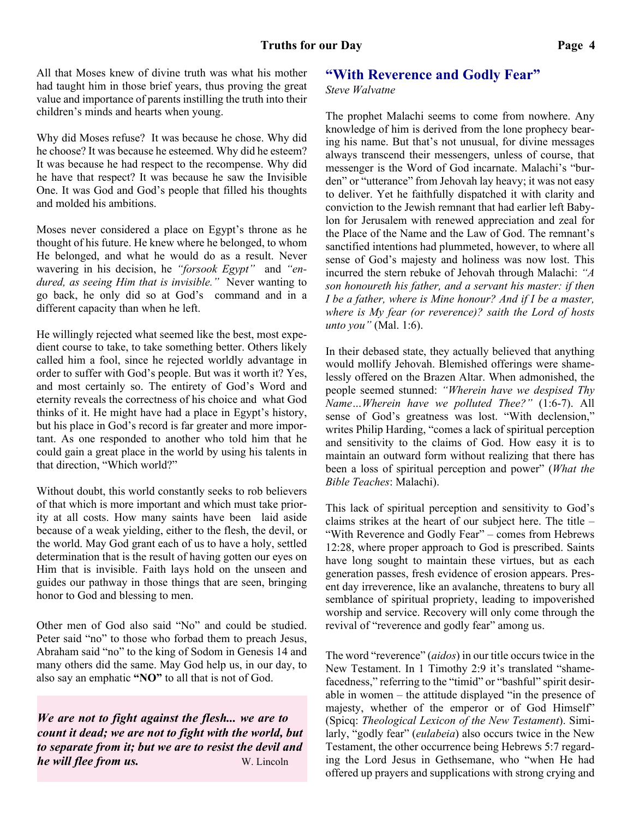All that Moses knew of divine truth was what his mother had taught him in those brief years, thus proving the great value and importance of parents instilling the truth into their children's minds and hearts when young.

Why did Moses refuse? It was because he chose. Why did he choose? It was because he esteemed. Why did he esteem? It was because he had respect to the recompense. Why did he have that respect? It was because he saw the Invisible One. It was God and God's people that filled his thoughts and molded his ambitions.

Moses never considered a place on Egypt's throne as he thought of his future. He knew where he belonged, to whom He belonged, and what he would do as a result. Never wavering in his decision, he *"forsook Egypt"* and *"endured, as seeing Him that is invisible."* Never wanting to go back, he only did so at God's command and in a different capacity than when he left.

He willingly rejected what seemed like the best, most expedient course to take, to take something better. Others likely called him a fool, since he rejected worldly advantage in order to suffer with God's people. But was it worth it? Yes, and most certainly so. The entirety of God's Word and eternity reveals the correctness of his choice and what God thinks of it. He might have had a place in Egypt's history, but his place in God's record is far greater and more important. As one responded to another who told him that he could gain a great place in the world by using his talents in that direction, "Which world?"

Without doubt, this world constantly seeks to rob believers of that which is more important and which must take priority at all costs. How many saints have been laid aside because of a weak yielding, either to the flesh, the devil, or the world. May God grant each of us to have a holy, settled determination that is the result of having gotten our eyes on Him that is invisible. Faith lays hold on the unseen and guides our pathway in those things that are seen, bringing honor to God and blessing to men.

Other men of God also said "No" and could be studied. Peter said "no" to those who forbad them to preach Jesus, Abraham said "no" to the king of Sodom in Genesis 14 and many others did the same. May God help us, in our day, to also say an emphatic **"NO"** to all that is not of God.

*We are not to fight against the flesh... we are to count it dead; we are not to fight with the world, but to separate from it; but we are to resist the devil and he will flee from us.* W. Lincoln

#### **"With Reverence and Godly Fear"**

#### *Steve Walvatne*

The prophet Malachi seems to come from nowhere. Any knowledge of him is derived from the lone prophecy bearing his name. But that's not unusual, for divine messages always transcend their messengers, unless of course, that messenger is the Word of God incarnate. Malachi's "burden" or "utterance" from Jehovah lay heavy; it was not easy to deliver. Yet he faithfully dispatched it with clarity and conviction to the Jewish remnant that had earlier left Babylon for Jerusalem with renewed appreciation and zeal for the Place of the Name and the Law of God. The remnant's sanctified intentions had plummeted, however, to where all sense of God's majesty and holiness was now lost. This incurred the stern rebuke of Jehovah through Malachi: *"A son honoureth his father, and a servant his master: if then I be a father, where is Mine honour? And if I be a master, where is My fear (or reverence)? saith the Lord of hosts unto you"* (Mal. 1:6).

In their debased state, they actually believed that anything would mollify Jehovah. Blemished offerings were shamelessly offered on the Brazen Altar. When admonished, the people seemed stunned: *"Wherein have we despised Thy Name…Wherein have we polluted Thee?"* (1:6-7). All sense of God's greatness was lost. "With declension," writes Philip Harding, "comes a lack of spiritual perception and sensitivity to the claims of God. How easy it is to maintain an outward form without realizing that there has been a loss of spiritual perception and power" (*What the Bible Teaches*: Malachi).

This lack of spiritual perception and sensitivity to God's claims strikes at the heart of our subject here. The title – "With Reverence and Godly Fear" – comes from Hebrews 12:28, where proper approach to God is prescribed. Saints have long sought to maintain these virtues, but as each generation passes, fresh evidence of erosion appears. Present day irreverence, like an avalanche, threatens to bury all semblance of spiritual propriety, leading to impoverished worship and service. Recovery will only come through the revival of "reverence and godly fear" among us.

The word "reverence" (*aidos*) in our title occurs twice in the New Testament. In 1 Timothy 2:9 it's translated "shamefacedness," referring to the "timid" or "bashful" spirit desirable in women – the attitude displayed "in the presence of majesty, whether of the emperor or of God Himself" (Spicq: *Theological Lexicon of the New Testament*). Similarly, "godly fear" (*eulabeia*) also occurs twice in the New Testament, the other occurrence being Hebrews 5:7 regarding the Lord Jesus in Gethsemane, who "when He had offered up prayers and supplications with strong crying and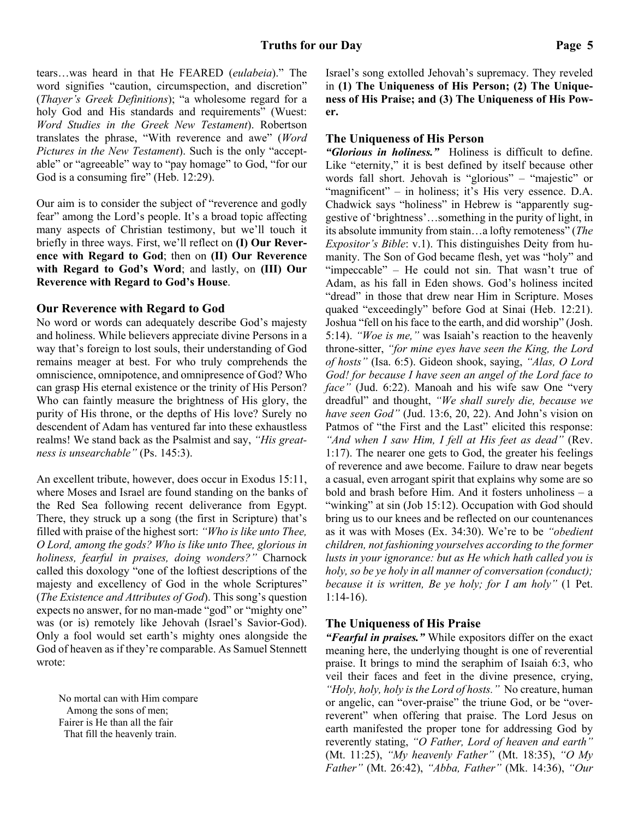tears…was heard in that He FEARED (*eulabeia*)." The word signifies "caution, circumspection, and discretion" (*Thayer's Greek Definitions*); "a wholesome regard for a holy God and His standards and requirements" (Wuest: *Word Studies in the Greek New Testament*). Robertson translates the phrase, "With reverence and awe" (*Word Pictures in the New Testament*). Such is the only "acceptable" or "agreeable" way to "pay homage" to God, "for our God is a consuming fire" (Heb. 12:29).

Our aim is to consider the subject of "reverence and godly fear" among the Lord's people. It's a broad topic affecting many aspects of Christian testimony, but we'll touch it briefly in three ways. First, we'll reflect on **(I) Our Reverence with Regard to God**; then on **(II) Our Reverence with Regard to God's Word**; and lastly, on **(III) Our Reverence with Regard to God's House**.

#### **Our Reverence with Regard to God**

No word or words can adequately describe God's majesty and holiness. While believers appreciate divine Persons in a way that's foreign to lost souls, their understanding of God remains meager at best. For who truly comprehends the omniscience, omnipotence, and omnipresence of God? Who can grasp His eternal existence or the trinity of His Person? Who can faintly measure the brightness of His glory, the purity of His throne, or the depths of His love? Surely no descendent of Adam has ventured far into these exhaustless realms! We stand back as the Psalmist and say, *"His greatness is unsearchable"* (Ps. 145:3).

An excellent tribute, however, does occur in Exodus 15:11, where Moses and Israel are found standing on the banks of the Red Sea following recent deliverance from Egypt. There, they struck up a song (the first in Scripture) that's filled with praise of the highest sort: *"Who is like unto Thee, O Lord, among the gods? Who is like unto Thee, glorious in holiness, fearful in praises, doing wonders?"* Charnock called this doxology "one of the loftiest descriptions of the majesty and excellency of God in the whole Scriptures" (*The Existence and Attributes of God*). This song's question expects no answer, for no man-made "god" or "mighty one" was (or is) remotely like Jehovah (Israel's Savior-God). Only a fool would set earth's mighty ones alongside the God of heaven as if they're comparable. As Samuel Stennett wrote:

No mortal can with Him compare Among the sons of men; Fairer is He than all the fair That fill the heavenly train.

Israel's song extolled Jehovah's supremacy. They reveled in **(1) The Uniqueness of His Person; (2) The Uniqueness of His Praise; and (3) The Uniqueness of His Power.**

#### **The Uniqueness of His Person**

*"Glorious in holiness."* Holiness is difficult to define. Like "eternity," it is best defined by itself because other words fall short. Jehovah is "glorious" – "majestic" or "magnificent" – in holiness; it's His very essence. D.A. Chadwick says "holiness" in Hebrew is "apparently suggestive of 'brightness'…something in the purity of light, in its absolute immunity from stain…a lofty remoteness" (*The Expositor's Bible*: v.1). This distinguishes Deity from humanity. The Son of God became flesh, yet was "holy" and "impeccable" – He could not sin. That wasn't true of Adam, as his fall in Eden shows. God's holiness incited "dread" in those that drew near Him in Scripture. Moses quaked "exceedingly" before God at Sinai (Heb. 12:21). Joshua "fell on his face to the earth, and did worship" (Josh. 5:14). *"Woe is me,"* was Isaiah's reaction to the heavenly throne-sitter, *"for mine eyes have seen the King, the Lord of hosts"* (Isa. 6:5). Gideon shook, saying, *"Alas, O Lord God! for because I have seen an angel of the Lord face to face"* (Jud. 6:22). Manoah and his wife saw One "very dreadful" and thought, *"We shall surely die, because we have seen God"* (Jud. 13:6, 20, 22). And John's vision on Patmos of "the First and the Last" elicited this response: *"And when I saw Him, I fell at His feet as dead"* (Rev. 1:17). The nearer one gets to God, the greater his feelings of reverence and awe become. Failure to draw near begets a casual, even arrogant spirit that explains why some are so bold and brash before Him. And it fosters unholiness – a "winking" at sin (Job 15:12). Occupation with God should bring us to our knees and be reflected on our countenances as it was with Moses (Ex. 34:30). We're to be *"obedient children, not fashioning yourselves according to the former lusts in your ignorance: but as He which hath called you is holy, so be ye holy in all manner of conversation (conduct); because it is written, Be ye holy; for I am holy"* (1 Pet. 1:14-16).

#### **The Uniqueness of His Praise**

*"Fearful in praises."* While expositors differ on the exact meaning here, the underlying thought is one of reverential praise. It brings to mind the seraphim of Isaiah 6:3, who veil their faces and feet in the divine presence, crying, *"Holy, holy, holy is the Lord of hosts."* No creature, human or angelic, can "over-praise" the triune God, or be "overreverent" when offering that praise. The Lord Jesus on earth manifested the proper tone for addressing God by reverently stating, *"O Father, Lord of heaven and earth"* (Mt. 11:25), *"My heavenly Father"* (Mt. 18:35), *"O My Father"* (Mt. 26:42), *"Abba, Father"* (Mk. 14:36), *"Our*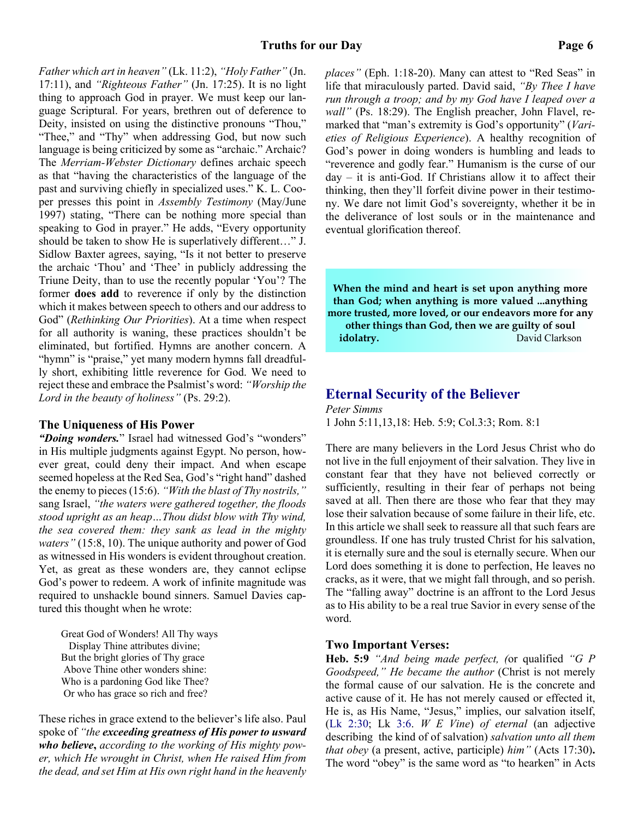*Father which art in heaven"* (Lk. 11:2), *"Holy Father"* (Jn. 17:11), and *"Righteous Father"* (Jn. 17:25). It is no light thing to approach God in prayer. We must keep our language Scriptural. For years, brethren out of deference to Deity, insisted on using the distinctive pronouns "Thou," "Thee," and "Thy" when addressing God, but now such language is being criticized by some as "archaic." Archaic? The *Merriam-Webster Dictionary* defines archaic speech as that "having the characteristics of the language of the past and surviving chiefly in specialized uses." K. L. Cooper presses this point in *Assembly Testimony* (May/June 1997) stating, "There can be nothing more special than speaking to God in prayer." He adds, "Every opportunity should be taken to show He is superlatively different…" J. Sidlow Baxter agrees, saying, "Is it not better to preserve the archaic 'Thou' and 'Thee' in publicly addressing the Triune Deity, than to use the recently popular 'You'? The former **does add** to reverence if only by the distinction which it makes between speech to others and our address to God" (*Rethinking Our Priorities*). At a time when respect for all authority is waning, these practices shouldn't be eliminated, but fortified. Hymns are another concern. A "hymn" is "praise," yet many modern hymns fall dreadfully short, exhibiting little reverence for God. We need to reject these and embrace the Psalmist's word: *"Worship the Lord in the beauty of holiness"* (Ps. 29:2).

#### **The Uniqueness of His Power**

"Doing wonders." Israel had witnessed God's "wonders" in His multiple judgments against Egypt. No person, however great, could deny their impact. And when escape seemed hopeless at the Red Sea, God's "right hand" dashed the enemy to pieces (15:6). *"With the blast of Thy nostrils,"* sang Israel, *"the waters were gathered together, the floods stood upright as an heap…Thou didst blow with Thy wind, the sea covered them: they sank as lead in the mighty waters"* (15:8, 10). The unique authority and power of God as witnessed in His wonders is evident throughout creation. Yet, as great as these wonders are, they cannot eclipse God's power to redeem. A work of infinite magnitude was required to unshackle bound sinners. Samuel Davies captured this thought when he wrote:

Great God of Wonders! All Thy ways Display Thine attributes divine; But the bright glories of Thy grace Above Thine other wonders shine: Who is a pardoning God like Thee? Or who has grace so rich and free?

These riches in grace extend to the believer's life also. Paul spoke of *"the exceeding greatness of His power to usward who believe***,** *according to the working of His mighty power, which He wrought in Christ, when He raised Him from the dead, and set Him at His own right hand in the heavenly* *places"* (Eph. 1:18-20). Many can attest to "Red Seas" in life that miraculously parted. David said, *"By Thee I have run through a troop; and by my God have I leaped over a wall"* (Ps. 18:29). The English preacher, John Flavel, remarked that "man's extremity is God's opportunity" (*Varieties of Religious Experience*). A healthy recognition of God's power in doing wonders is humbling and leads to "reverence and godly fear." Humanism is the curse of our day – it is anti-God. If Christians allow it to affect their thinking, then they'll forfeit divine power in their testimony. We dare not limit God's sovereignty, whether it be in the deliverance of lost souls or in the maintenance and eventual glorification thereof.

**When the mind and heart is set upon anything more than God; when anything is more valued ...anything more trusted, more loved, or our endeavors more for any other things than God, then we are guilty of soul idolatry.** David Clarkson

#### **Eternal Security of the Believer**

*Peter Simms* 1 John 5:11,13,18: Heb. 5:9; Col.3:3; Rom. 8:1

There are many believers in the Lord Jesus Christ who do not live in the full enjoyment of their salvation. They live in constant fear that they have not believed correctly or sufficiently, resulting in their fear of perhaps not being saved at all. Then there are those who fear that they may lose their salvation because of some failure in their life, etc. In this article we shall seek to reassure all that such fears are groundless. If one has truly trusted Christ for his salvation, it is eternally sure and the soul is eternally secure. When our Lord does something it is done to perfection, He leaves no cracks, as it were, that we might fall through, and so perish. The "falling away" doctrine is an affront to the Lord Jesus as to His ability to be a real true Savior in every sense of the word.

#### **Two Important Verses:**

**Heb. 5:9** *"And being made perfect, (*or qualified *"G P Goodspeed," He became the author* (Christ is not merely the formal cause of our salvation. He is the concrete and active cause of it. He has not merely caused or effected it, He is, as His Name, "Jesus," implies, our salvation itself, (Lk 2:30; Lk 3:6. *W E Vine*) *of eternal* (an adjective describing the kind of of salvation) *salvation unto all them that obey* (a present, active, participle) *him"* (Acts 17:30)**.** The word "obey" is the same word as "to hearken" in Acts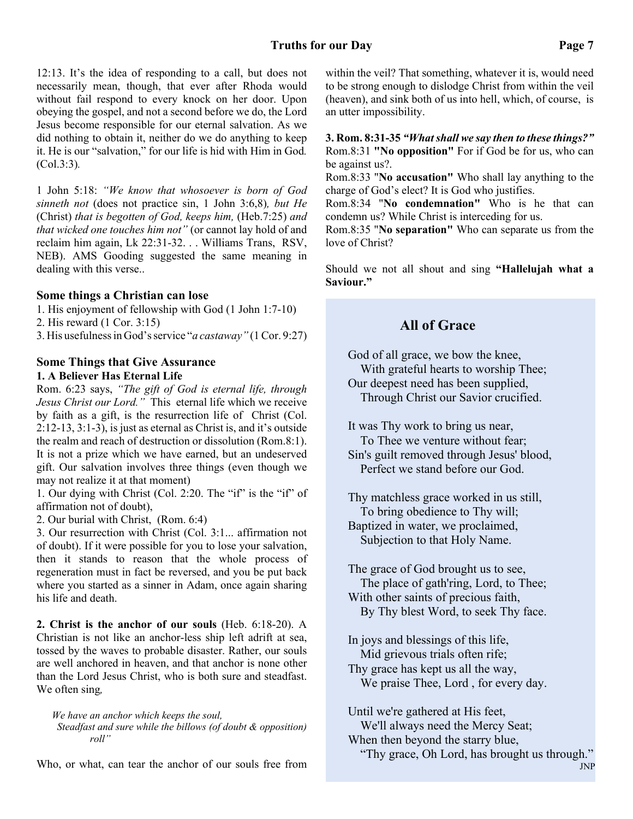#### **Truths for our Day Page 7**

12:13. It's the idea of responding to a call, but does not necessarily mean, though, that ever after Rhoda would without fail respond to every knock on her door. Upon obeying the gospel, and not a second before we do, the Lord Jesus become responsible for our eternal salvation. As we did nothing to obtain it, neither do we do anything to keep it. He is our "salvation," for our life is hid with Him in God*.* (Col.3:3)*.*

1 John 5:18: *"We know that whosoever is born of God sinneth not* (does not practice sin, 1 John 3:6,8)*, but He* (Christ) *that is begotten of God, keeps him,* (Heb.7:25) *and that wicked one touches him not"* (or cannot lay hold of and reclaim him again, Lk 22:31-32. . . Williams Trans, RSV, NEB). AMS Gooding suggested the same meaning in dealing with this verse..

#### **Some things a Christian can lose**

1. His enjoyment of fellowship with God (1 John 1:7-10)

2. His reward (1 Cor. 3:15)

3. His usefulness in God's service "*a castaway"* (1 Cor. 9:27)

#### **Some Things that Give Assurance 1. A Believer Has Eternal Life**

Rom. 6:23 says, *"The gift of God is eternal life, through Jesus Christ our Lord."* This eternal life which we receive by faith as a gift, is the resurrection life of Christ (Col. 2:12-13, 3:1-3), is just as eternal as Christ is, and it's outside the realm and reach of destruction or dissolution (Rom.8:1). It is not a prize which we have earned, but an undeserved gift. Our salvation involves three things (even though we may not realize it at that moment)

1. Our dying with Christ (Col. 2:20. The "if" is the "if" of affirmation not of doubt),

2. Our burial with Christ, (Rom. 6:4)

3. Our resurrection with Christ (Col. 3:1... affirmation not of doubt). If it were possible for you to lose your salvation, then it stands to reason that the whole process of regeneration must in fact be reversed, and you be put back where you started as a sinner in Adam, once again sharing his life and death.

**2. Christ is the anchor of our souls** (Heb. 6:18-20). A Christian is not like an anchor-less ship left adrift at sea, tossed by the waves to probable disaster. Rather, our souls are well anchored in heaven, and that anchor is none other than the Lord Jesus Christ, who is both sure and steadfast. We often sing*,*

*We have an anchor which keeps the soul, Steadfast and sure while the billows (of doubt & opposition) roll"*

Who, or what, can tear the anchor of our souls free from

within the veil? That something, whatever it is, would need to be strong enough to dislodge Christ from within the veil (heaven), and sink both of us into hell, which, of course, is an utter impossibility.

#### **3. Rom. 8:31-35** *"What shall we say then to these things?"* Rom.8:31 **"No opposition"** For if God be for us, who can be against us?.

Rom.8:33 "**No accusation"** Who shall lay anything to the charge of God's elect? It is God who justifies.

Rom.8:34 "**No condemnation"** Who is he that can condemn us? While Christ is interceding for us.

Rom.8:35 "**No separation"** Who can separate us from the love of Christ?

Should we not all shout and sing **"Hallelujah what a Saviour."**

## **All of Grace**

God of all grace, we bow the knee, With grateful hearts to worship Thee; Our deepest need has been supplied, Through Christ our Savior crucified.

It was Thy work to bring us near, To Thee we venture without fear; Sin's guilt removed through Jesus' blood, Perfect we stand before our God.

Thy matchless grace worked in us still, To bring obedience to Thy will; Baptized in water, we proclaimed, Subjection to that Holy Name.

The grace of God brought us to see, The place of gath'ring, Lord, to Thee; With other saints of precious faith, By Thy blest Word, to seek Thy face.

In joys and blessings of this life, Mid grievous trials often rife; Thy grace has kept us all the way, We praise Thee, Lord , for every day.

Until we're gathered at His feet, We'll always need the Mercy Seat; When then beyond the starry blue,

"Thy grace, Oh Lord, has brought us through."

JNP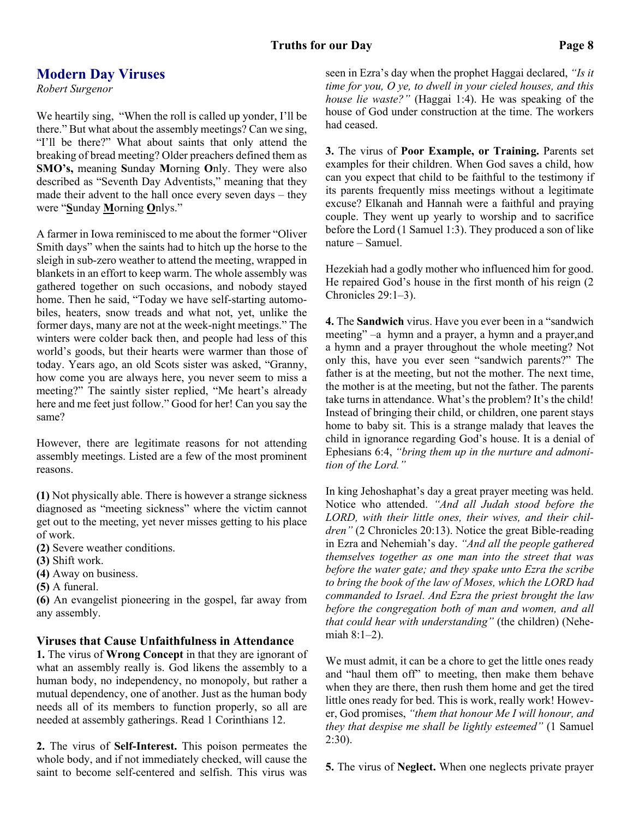#### **Truths for our Day Page 8**

#### **Modern Day Viruses**

*Robert Surgenor*

We heartily sing, "When the roll is called up yonder, I'll be there." But what about the assembly meetings? Can we sing, "I'll be there?" What about saints that only attend the breaking of bread meeting? Older preachers defined them as **SMO's,** meaning **S**unday **M**orning **O**nly. They were also described as "Seventh Day Adventists," meaning that they made their advent to the hall once every seven days – they were "**S**unday **M**orning **O**nlys."

A farmer in Iowa reminisced to me about the former "Oliver Smith days" when the saints had to hitch up the horse to the sleigh in sub-zero weather to attend the meeting, wrapped in blankets in an effort to keep warm. The whole assembly was gathered together on such occasions, and nobody stayed home. Then he said, "Today we have self-starting automobiles, heaters, snow treads and what not, yet, unlike the former days, many are not at the week-night meetings." The winters were colder back then, and people had less of this world's goods, but their hearts were warmer than those of today. Years ago, an old Scots sister was asked, "Granny, how come you are always here, you never seem to miss a meeting?" The saintly sister replied, "Me heart's already here and me feet just follow." Good for her! Can you say the same?

However, there are legitimate reasons for not attending assembly meetings. Listed are a few of the most prominent reasons.

**(1)** Not physically able. There is however a strange sickness diagnosed as "meeting sickness" where the victim cannot get out to the meeting, yet never misses getting to his place of work.

**(2)** Severe weather conditions.

- **(3)** Shift work.
- **(4)** Away on business.
- **(5)** A funeral.

**(6)** An evangelist pioneering in the gospel, far away from any assembly.

#### **Viruses that Cause Unfaithfulness in Attendance**

**1.** The virus of **Wrong Concept** in that they are ignorant of what an assembly really is. God likens the assembly to a human body, no independency, no monopoly, but rather a mutual dependency, one of another. Just as the human body needs all of its members to function properly, so all are needed at assembly gatherings. Read 1 Corinthians 12.

**2.** The virus of **Self-Interest.** This poison permeates the whole body, and if not immediately checked, will cause the saint to become self-centered and selfish. This virus was seen in Ezra's day when the prophet Haggai declared, *"Is it time for you, O ye, to dwell in your cieled houses, and this house lie waste?"* (Haggai 1:4). He was speaking of the house of God under construction at the time. The workers had ceased.

**3.** The virus of **Poor Example, or Training.** Parents set examples for their children. When God saves a child, how can you expect that child to be faithful to the testimony if its parents frequently miss meetings without a legitimate excuse? Elkanah and Hannah were a faithful and praying couple. They went up yearly to worship and to sacrifice before the Lord (1 Samuel 1:3). They produced a son of like nature – Samuel.

Hezekiah had a godly mother who influenced him for good. He repaired God's house in the first month of his reign (2 Chronicles 29:1–3).

**4.** The **Sandwich** virus. Have you ever been in a "sandwich meeting" –a hymn and a prayer, a hymn and a prayer,and a hymn and a prayer throughout the whole meeting? Not only this, have you ever seen "sandwich parents?" The father is at the meeting, but not the mother. The next time, the mother is at the meeting, but not the father. The parents take turns in attendance. What's the problem? It's the child! Instead of bringing their child, or children, one parent stays home to baby sit. This is a strange malady that leaves the child in ignorance regarding God's house. It is a denial of Ephesians 6:4, *"bring them up in the nurture and admonition of the Lord."*

In king Jehoshaphat's day a great prayer meeting was held. Notice who attended. *"And all Judah stood before the LORD, with their little ones, their wives, and their children"* (2 Chronicles 20:13). Notice the great Bible-reading in Ezra and Nehemiah's day. *"And all the people gathered themselves together as one man into the street that was before the water gate; and they spake unto Ezra the scribe to bring the book of the law of Moses, which the LORD had commanded to Israel. And Ezra the priest brought the law before the congregation both of man and women, and all that could hear with understanding"* (the children) (Nehemiah 8:1–2).

We must admit, it can be a chore to get the little ones ready and "haul them off" to meeting, then make them behave when they are there, then rush them home and get the tired little ones ready for bed. This is work, really work! However, God promises, *"them that honour Me I will honour, and they that despise me shall be lightly esteemed"* (1 Samuel 2:30).

**5.** The virus of **Neglect.** When one neglects private prayer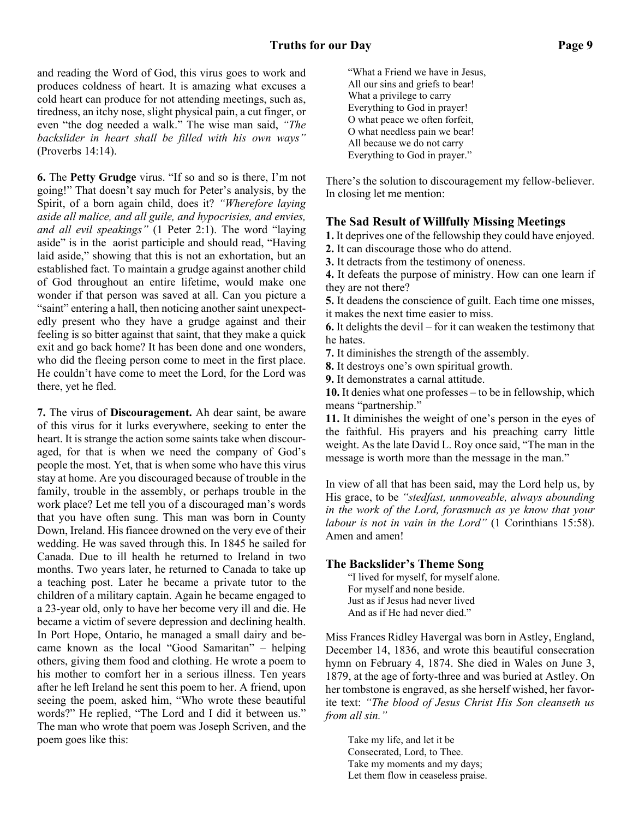and reading the Word of God, this virus goes to work and produces coldness of heart. It is amazing what excuses a cold heart can produce for not attending meetings, such as, tiredness, an itchy nose, slight physical pain, a cut finger, or even "the dog needed a walk." The wise man said, *"The backslider in heart shall be filled with his own ways"* (Proverbs 14:14).

**6.** The **Petty Grudge** virus. "If so and so is there, I'm not going!" That doesn't say much for Peter's analysis, by the Spirit, of a born again child, does it? *"Wherefore laying aside all malice, and all guile, and hypocrisies, and envies, and all evil speakings"* (1 Peter 2:1). The word "laying aside" is in the aorist participle and should read, "Having laid aside," showing that this is not an exhortation, but an established fact. To maintain a grudge against another child of God throughout an entire lifetime, would make one wonder if that person was saved at all. Can you picture a "saint" entering a hall, then noticing another saint unexpectedly present who they have a grudge against and their feeling is so bitter against that saint, that they make a quick exit and go back home? It has been done and one wonders, who did the fleeing person come to meet in the first place. He couldn't have come to meet the Lord, for the Lord was there, yet he fled.

**7.** The virus of **Discouragement.** Ah dear saint, be aware of this virus for it lurks everywhere, seeking to enter the heart. It is strange the action some saints take when discouraged, for that is when we need the company of God's people the most. Yet, that is when some who have this virus stay at home. Are you discouraged because of trouble in the family, trouble in the assembly, or perhaps trouble in the work place? Let me tell you of a discouraged man's words that you have often sung. This man was born in County Down, Ireland. His fiancee drowned on the very eve of their wedding. He was saved through this. In 1845 he sailed for Canada. Due to ill health he returned to Ireland in two months. Two years later, he returned to Canada to take up a teaching post. Later he became a private tutor to the children of a military captain. Again he became engaged to a 23-year old, only to have her become very ill and die. He became a victim of severe depression and declining health. In Port Hope, Ontario, he managed a small dairy and became known as the local "Good Samaritan" – helping others, giving them food and clothing. He wrote a poem to his mother to comfort her in a serious illness. Ten years after he left Ireland he sent this poem to her. A friend, upon seeing the poem, asked him, "Who wrote these beautiful words?" He replied, "The Lord and I did it between us." The man who wrote that poem was Joseph Scriven, and the poem goes like this:

"What a Friend we have in Jesus, All our sins and griefs to bear! What a privilege to carry Everything to God in prayer! O what peace we often forfeit, O what needless pain we bear! All because we do not carry Everything to God in prayer."

There's the solution to discouragement my fellow-believer. In closing let me mention:

#### **The Sad Result of Willfully Missing Meetings**

**1.** It deprives one of the fellowship they could have enjoyed.

**2.** It can discourage those who do attend.

**3.** It detracts from the testimony of oneness.

**4.** It defeats the purpose of ministry. How can one learn if they are not there?

**5.** It deadens the conscience of guilt. Each time one misses, it makes the next time easier to miss.

**6.** It delights the devil – for it can weaken the testimony that he hates.

**7.** It diminishes the strength of the assembly.

**8.** It destroys one's own spiritual growth.

**9.** It demonstrates a carnal attitude.

**10.** It denies what one professes – to be in fellowship, which means "partnership."

**11.** It diminishes the weight of one's person in the eyes of the faithful. His prayers and his preaching carry little weight. As the late David L. Roy once said, "The man in the message is worth more than the message in the man."

In view of all that has been said, may the Lord help us, by His grace, to be *"stedfast, unmoveable, always abounding in the work of the Lord, forasmuch as ye know that your labour is not in vain in the Lord"* (1 Corinthians 15:58). Amen and amen!

#### **The Backslider's Theme Song**

"I lived for myself, for myself alone. For myself and none beside. Just as if Jesus had never lived And as if He had never died."

Miss Frances Ridley Havergal was born in Astley, England, December 14, 1836, and wrote this beautiful consecration hymn on February 4, 1874. She died in Wales on June 3, 1879, at the age of forty-three and was buried at Astley. On her tombstone is engraved, as she herself wished, her favorite text: *"The blood of Jesus Christ His Son cleanseth us from all sin."*

Take my life, and let it be Consecrated, Lord, to Thee. Take my moments and my days; Let them flow in ceaseless praise.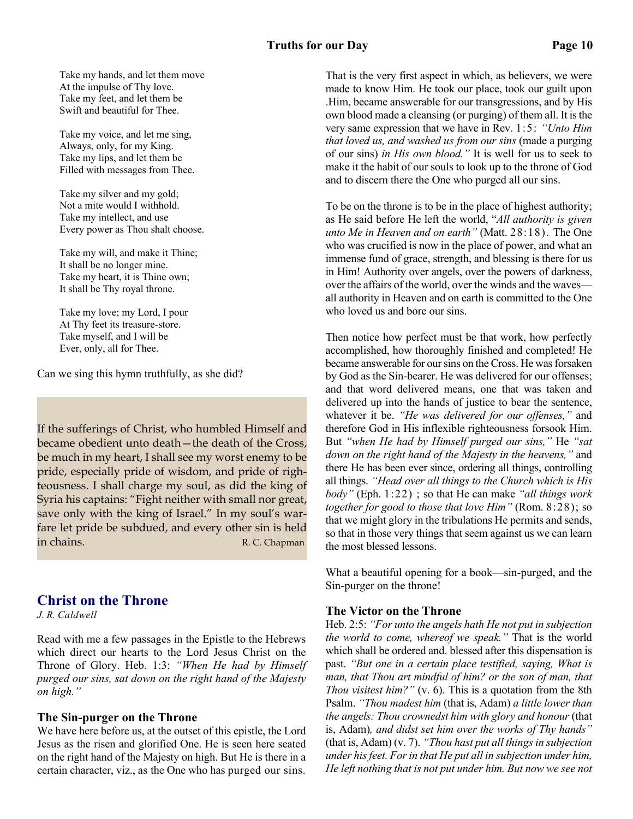Take my hands, and let them move At the impulse of Thy love. Take my feet, and let them be Swift and beautiful for Thee.

Take my voice, and let me sing, Always, only, for my King. Take my lips, and let them be Filled with messages from Thee.

Take my silver and my gold; Not a mite would I withhold. Take my intellect, and use Every power as Thou shalt choose.

Take my will, and make it Thine; It shall be no longer mine. Take my heart, it is Thine own; It shall be Thy royal throne.

Take my love; my Lord, I pour At Thy feet its treasure-store. Take myself, and I will be Ever, only, all for Thee.

Can we sing this hymn truthfully, as she did?

If the sufferings of Christ, who humbled Himself and became obedient unto death—the death of the Cross, be much in my heart, I shall see my worst enemy to be pride, especially pride of wisdom, and pride of righteousness. I shall charge my soul, as did the king of Syria his captains: "Fight neither with small nor great, save only with the king of Israel." In my soul's warfare let pride be subdued, and every other sin is held in chains. The contract of the contract of the contract of the contract of the contract of the contract of the contract of the contract of the contract of the contract of the contract of the contract of the contract of the

#### **Christ on the Throne**

*J. R. Caldwell*

Read with me a few passages in the Epistle to the Hebrews which direct our hearts to the Lord Jesus Christ on the Throne of Glory. Heb. 1:3: *"When He had by Himself purged our sins, sat down on the right hand of the Majesty on high."*

#### **The Sin-purger on the Throne**

We have here before us, at the outset of this epistle, the Lord Jesus as the risen and glorified One. He is seen here seated on the right hand of the Majesty on high. But He is there in a certain character, viz., as the One who has purged our sins. That is the very first aspect in which, as believers, we were made to know Him. He took our place, took our guilt upon .Him, became answerable for our transgressions, and by His own blood made a cleansing (or purging) of them all. It is the very same expression that we have in Rev. 1:5: *"Unto Him that loved us, and washed us from our sins* (made a purging of our sins) *in His own blood."* It is well for us to seek to make it the habit of our souls to look up to the throne of God and to discern there the One who purged all our sins.

To be on the throne is to be in the place of highest authority; as He said before He left the world, "*All authority is given unto Me in Heaven and on earth"* (Matt. 28:18). The One who was crucified is now in the place of power, and what an immense fund of grace, strength, and blessing is there for us in Him! Authority over angels, over the powers of darkness, over the affairs of the world, over the winds and the waves all authority in Heaven and on earth is committed to the One who loved us and bore our sins.

Then notice how perfect must be that work, how perfectly accomplished, how thoroughly finished and completed! He became answerable for our sins on the Cross. He was forsaken by God as the Sin-bearer. He was delivered for our offenses; and that word delivered means, one that was taken and delivered up into the hands of justice to bear the sentence, whatever it be. *"He was delivered for our offenses,"* and therefore God in His inflexible righteousness forsook Him. But *"when He had by Himself purged our sins,"* He *"sat down on the right hand of the Majesty in the heavens,"* and there He has been ever since, ordering all things, controlling all things. *"Head over all things to the Church which is His body"* (Eph. 1:22) ; so that He can make *"all things work together for good to those that love Him"* (Rom. 8:28); so that we might glory in the tribulations He permits and sends, so that in those very things that seem against us we can learn the most blessed lessons.

What a beautiful opening for a book—sin-purged, and the Sin-purger on the throne!

#### **The Victor on the Throne**

Heb. 2:5: *"For unto the angels hath He not put in subjection the world to come, whereof we speak."* That is the world which shall be ordered and. blessed after this dispensation is past. *"But one in a certain place testified, saying, What is man, that Thou art mindful of him? or the son of man, that Thou visitest him?"* (v. 6). This is a quotation from the 8th Psalm. *"Thou madest him* (that is, Adam) *a little lower than the angels: Thou crownedst him with glory and honour* (that is, Adam)*, and didst set him over the works of Thy hands"* (that is, Adam) (v. 7). *"Thou hast put all things in subjection under his feet. For in that He put all in subjection under him, He left nothing that is not put under him. But now we see not*